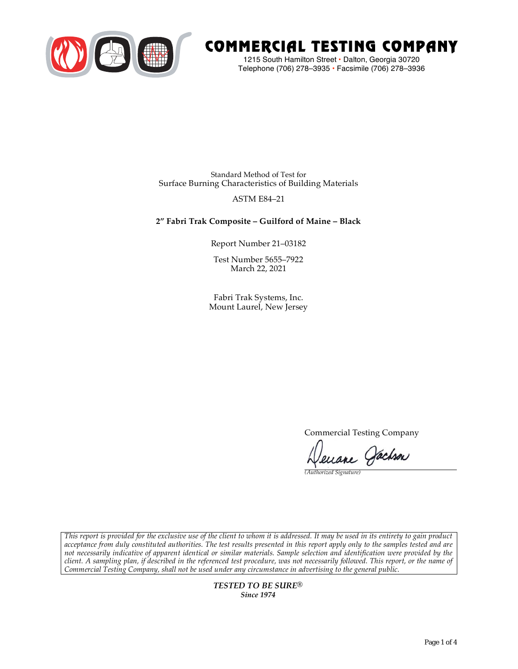

# COMMERCIAL TESTING COMPANY

1215 South Hamilton Street • Dalton, Georgia 30720 Telephone (706) 278–3935 **•** Facsimile (706) 278–3936

Standard Method of Test for Surface Burning Characteristics of Building Materials

## ASTM E84–21

# **2" Fabri Trak Composite – Guilford of Maine – Black**

Report Number 21–03182

Test Number 5655–7922 March 22, 2021

Fabri Trak Systems, Inc. Mount Laurel, New Jersey

Commercial Testing Company

Jenane Jachson

*(Authorized Signature)* 

*This report is provided for the exclusive use of the client to whom it is addressed. It may be used in its entirety to gain product acceptance from duly constituted authorities. The test results presented in this report apply only to the samples tested and are not necessarily indicative of apparent identical or similar materials. Sample selection and identification were provided by the client. A sampling plan, if described in the referenced test procedure, was not necessarily followed. This report, or the name of Commercial Testing Company, shall not be used under any circumstance in advertising to the general public.* 

> *TESTED TO BE SURE® Since 1974*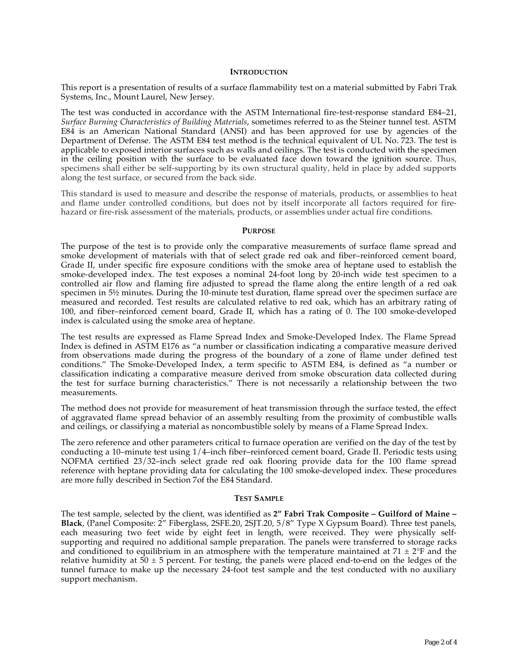## **INTRODUCTION**

This report is a presentation of results of a surface flammability test on a material submitted by Fabri Trak Systems, Inc., Mount Laurel, New Jersey.

The test was conducted in accordance with the ASTM International fire-test-response standard E84–21, *Surface Burning Characteristics of Building Materials*, sometimes referred to as the Steiner tunnel test. ASTM E84 is an American National Standard (ANSI) and has been approved for use by agencies of the Department of Defense. The ASTM E84 test method is the technical equivalent of UL No. 723. The test is applicable to exposed interior surfaces such as walls and ceilings. The test is conducted with the specimen in the ceiling position with the surface to be evaluated face down toward the ignition source. Thus, specimens shall either be self-supporting by its own structural quality, held in place by added supports along the test surface, or secured from the back side.

This standard is used to measure and describe the response of materials, products, or assemblies to heat and flame under controlled conditions, but does not by itself incorporate all factors required for firehazard or fire-risk assessment of the materials, products, or assemblies under actual fire conditions.

#### **PURPOSE**

The purpose of the test is to provide only the comparative measurements of surface flame spread and smoke development of materials with that of select grade red oak and fiber–reinforced cement board, Grade II, under specific fire exposure conditions with the smoke area of heptane used to establish the smoke-developed index. The test exposes a nominal 24-foot long by 20-inch wide test specimen to a controlled air flow and flaming fire adjusted to spread the flame along the entire length of a red oak specimen in  $5\frac{1}{2}$  minutes. During the 10-minute test duration, flame spread over the specimen surface are measured and recorded. Test results are calculated relative to red oak, which has an arbitrary rating of 100, and fiber–reinforced cement board, Grade II, which has a rating of 0. The 100 smoke-developed index is calculated using the smoke area of heptane.

The test results are expressed as Flame Spread Index and Smoke-Developed Index. The Flame Spread Index is defined in ASTM E176 as "a number or classification indicating a comparative measure derived from observations made during the progress of the boundary of a zone of flame under defined test conditions." The Smoke-Developed Index, a term specific to ASTM E84, is defined as "a number or classification indicating a comparative measure derived from smoke obscuration data collected during the test for surface burning characteristics." There is not necessarily a relationship between the two measurements.

The method does not provide for measurement of heat transmission through the surface tested, the effect of aggravated flame spread behavior of an assembly resulting from the proximity of combustible walls and ceilings, or classifying a material as noncombustible solely by means of a Flame Spread Index.

The zero reference and other parameters critical to furnace operation are verified on the day of the test by conducting a 10–minute test using 1/4–inch fiber–reinforced cement board, Grade II. Periodic tests using NOFMA certified 23/32–inch select grade red oak flooring provide data for the 100 flame spread reference with heptane providing data for calculating the 100 smoke-developed index. These procedures are more fully described in Section 7of the E84 Standard.

#### **TEST SAMPLE**

The test sample, selected by the client, was identified as **2" Fabri Trak Composite – Guilford of Maine – Black**, (Panel Composite: 2" Fiberglass, 2SFE.20, 2SJT.20, 5/8" Type X Gypsum Board). Three test panels, each measuring two feet wide by eight feet in length, were received. They were physically selfsupporting and required no additional sample preparation. The panels were transferred to storage racks and conditioned to equilibrium in an atmosphere with the temperature maintained at  $71 \pm 2$ °F and the relative humidity at  $50 \pm 5$  percent. For testing, the panels were placed end-to-end on the ledges of the tunnel furnace to make up the necessary 24-foot test sample and the test conducted with no auxiliary support mechanism.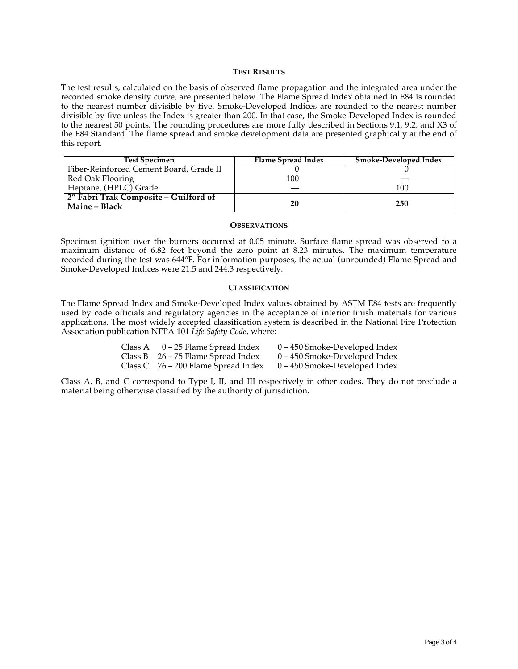## **TEST RESULTS**

The test results, calculated on the basis of observed flame propagation and the integrated area under the recorded smoke density curve, are presented below. The Flame Spread Index obtained in E84 is rounded to the nearest number divisible by five. Smoke-Developed Indices are rounded to the nearest number divisible by five unless the Index is greater than 200. In that case, the Smoke-Developed Index is rounded to the nearest 50 points. The rounding procedures are more fully described in Sections 9.1, 9.2, and X3 of the E84 Standard. The flame spread and smoke development data are presented graphically at the end of this report.

| <b>Test Specimen</b>                                          | Flame Spread Index | <b>Smoke-Developed Index</b> |
|---------------------------------------------------------------|--------------------|------------------------------|
| Fiber-Reinforced Cement Board, Grade II                       |                    |                              |
| Red Oak Flooring                                              | 100                |                              |
| Heptane, (HPLC) Grade                                         |                    | 100                          |
| 2" Fabri Trak Composite - Guilford of<br><b>Maine – Black</b> | 20                 | 250                          |

#### **OBSERVATIONS**

Specimen ignition over the burners occurred at 0.05 minute. Surface flame spread was observed to a maximum distance of 6.82 feet beyond the zero point at 8.23 minutes. The maximum temperature recorded during the test was 644°F. For information purposes, the actual (unrounded) Flame Spread and Smoke-Developed Indices were 21.5 and 244.3 respectively.

## **CLASSIFICATION**

The Flame Spread Index and Smoke-Developed Index values obtained by ASTM E84 tests are frequently used by code officials and regulatory agencies in the acceptance of interior finish materials for various applications. The most widely accepted classification system is described in the National Fire Protection Association publication NFPA 101 *Life Safety Code*, where:

| Class A | 0 – 25 Flame Spread Index             | 0 – 450 Smoke-Developed Index   |
|---------|---------------------------------------|---------------------------------|
|         | Class B $26 - 75$ Flame Spread Index  | $0 - 450$ Smoke-Developed Index |
|         | Class C $76 - 200$ Flame Spread Index | 0 – 450 Smoke-Developed Index   |

Class A, B, and C correspond to Type I, II, and III respectively in other codes. They do not preclude a material being otherwise classified by the authority of jurisdiction.